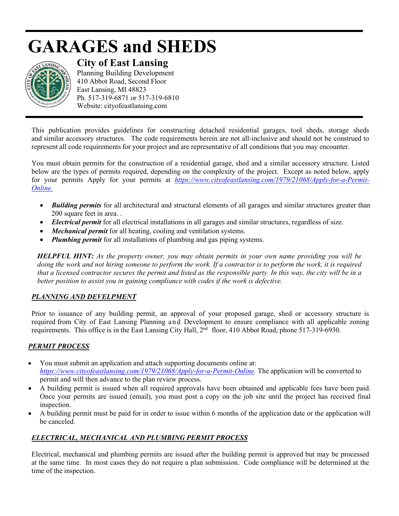# **GARAGES and SHEDS**



**City of East Lansing** 

Planning Building Development 410 Abbot Road, Second Floor East Lansing, MI 48823 Ph. 517-319-6871 or 517-319-6810 Website: cityofeastlansing.com

This publication provides guidelines for constructing detached residential garages, tool sheds, storage sheds and similar accessory structures. The code requirements herein are not all-inclusive and should not be construed to represent all code requirements for your project and are representative of all conditions that you may encounter.

You must obtain permits for the construction of a residential garage, shed and a similar accessory structure. Listed below are the types of permits required, depending on the complexity of the project. Except as noted below, apply for your permits Apply for your permits at *[https://www.cityofeastlansing.com/1979/21068/Apply-for-a-Permit-](https://gcc02.safelinks.protection.outlook.com/?url=https%3A%2F%2Fwww.cityofeastlansing.com%2F1979%2F21068%2FApply-for-a-Permit-Online&data=02%7C01%7Clyabs%40cityofeastlansing.com%7Cb9fe59df82de4643f38008d84e6d8f26%7C42c2237340d243c6b22f2c6f445fa115%7C0%7C0%7C637345579751519156&sdata=JYaSysmPHUZPke1N8AkQPIhf%2Bps%2FuXYwaY23UuMZrWo%3D&reserved=0)[Online.](https://gcc02.safelinks.protection.outlook.com/?url=https%3A%2F%2Fwww.cityofeastlansing.com%2F1979%2F21068%2FApply-for-a-Permit-Online&data=02%7C01%7Clyabs%40cityofeastlansing.com%7Cb9fe59df82de4643f38008d84e6d8f26%7C42c2237340d243c6b22f2c6f445fa115%7C0%7C0%7C637345579751519156&sdata=JYaSysmPHUZPke1N8AkQPIhf%2Bps%2FuXYwaY23UuMZrWo%3D&reserved=0)*

- *Building permits* for all architectural and structural elements of all garages and similar structures greater than 200 square feet in area. .
- *Electrical permit* for all electrical installations in all garages and similar structures, regardless of size.
- *Mechanical permit* for all heating, cooling and ventilation systems.
- *Plumbing permit* for all installations of plumbing and gas piping systems.

*HELPFUL HINT: As the property owner, you may obtain permits in your own name providing you will be*  doing the work and not hiring someone to perform the work. If a contractor is to perform the work, it is required *that a licensed contractor secures the permit and listed as the responsible party. In this way, the city will be in a better position to assist you in gaining compliance with codes if the work is defective.*

## *PLANNING AND DEVELPMENT*

Prior to issuance of any building permit, an approval of your proposed garage, shed or accessory structure is required from City of East Lansing Planning and Development to ensure compliance with all applicable zoning requirements. This office is in the East Lansing City Hall, 2<sup>nd</sup> floor, 410 Abbot Road; phone 517-319-6930.

# *PERMIT PROCESS*

- You must submit an application and attach supporting documents online at: *[https://www.cityofeastlansing.com/1979/21068/Apply-for-a-Permit-Online.](https://www.cityofeastlansing.com/1979/21068/Apply-for-a-Permit-Online)* The application will be converted to permit and will then advance to the plan review process.
- A building permit is issued when all required approvals have been obtained and applicable fees have been paid. Once your permits are issued (email), you must post a copy on the job site until the project has received final inspection.
- A building permit must be paid for in order to issue within 6 months of the application date or the application will be canceled.

# *ELECTRICAL, MECHANICAL AND PLUMBING PERMIT PROCESS*

Electrical, mechanical and plumbing permits are issued after the building permit is approved but may be processed at the same time. In most cases they do not require a plan submission. Code compliance will be determined at the time of the inspection.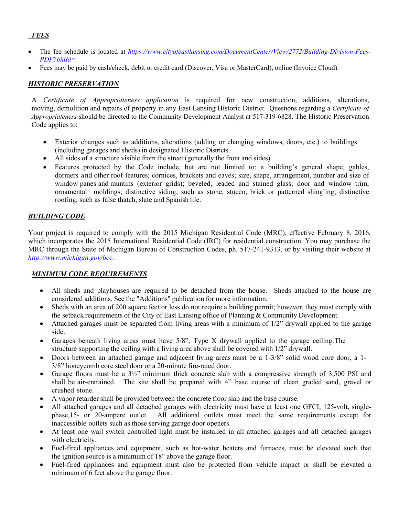#### *FEES*

- The fee schedule is located at *https://www.cityofeastlansing.com/DocumentCenter/View/2772/Building-Division-Fees-PDF?bidId=*
- Fees may be paid by cash/check, debit or credit card (Discover, Visa or MasterCard), online (Invoice Cloud).

#### *HISTORIC PRESERVATION*

A *[Certificate of Appropriateness application](http://www.cityofeastlansing.com/CITYGOV/PCD/pdf/CertofApprop07.pdf)* is required for new construction, additions, alterations, moving, demolition and repairs of property in any East Lansing Historic District. Questions regarding a *Certificate of Appropriateness* should be directed to the Community Development Analyst at 517-319-6828. The Historic Preservation Code applies to:

- Exterior changes such as additions, alterations (adding or changing windows, doors, etc.) to buildings (including garages and sheds) in designated Historic Districts.
- All sides of a structure visible from the street (generally the front and sides).
- Features protected by the Code include, but are not limited to: a building's general shape; gables, dormers and other roof features; cornices, brackets and eaves; size, shape, arrangement, number and size of window panes and muntins (exterior grids); beveled, leaded and stained glass; door and window trim; ornamental moldings; distinctive siding, such as stone, stucco, brick or patterned shingling; distinctive roofing, such as false thatch, slate and Spanish tile.

#### *BUILDING CODE*

Your project is required to comply with the 2015 Michigan Residential Code (MRC), effective February 8, 2016, which incorporates the 2015 International Residential Code (IRC) for residential construction. You may purchase the MRC through the State of Michigan Bureau of Construction Codes, ph. 517-241-9313, or by visiting their website at *[http://www.michigan.gov/bcc.](http://www.michigan.gov/bcc)*

#### *MINIMUM CODE REQUIREMENTS*

- All sheds and playhouses are required to be detached from the house. Sheds attached to the house are considered additions. See the "Additions" publication for more information.
- Sheds with an area of 200 square feet or less do not require a building permit; however, they must comply with the setback requirements of the City of East Lansing office of Planning & Community Development.
- Attached garages must be separated from living areas with a minimum of  $1/2$ " drywall applied to the garage side.
- Garages beneath living areas must have 5/8", Type X drywall applied to the garage ceiling.The structure supporting the ceiling with a living area above shall be covered with 1/2" drywall.
- Doors between an attached garage and adjacent living areas must be a 1-3/8" solid wood core door, a 1- 3/8" honeycomb core steel door or a 20-minute fire-rated door.
- Garage floors must be a  $3\frac{1}{2}$ " minimum thick concrete slab with a compressive strength of 3,500 PSI and shall be air-entrained. The site shall be prepared with 4" base course of clean graded sand, gravel or crushed stone.
- A vapor retarder shall be provided between the concrete floor slab and the base course.
- All attached garages and all detached garages with electricity must have at least one GFCI, 125-volt, singlephase,15- or 20-ampere outlet. All additional outlets must meet the same requirements except for inaccessible outlets such as those serving garage door openers.
- At least one wall switch controlled light must be installed in all attached garages and all detached garages with electricity.
- Fuel-fired appliances and equipment, such as hot-water heaters and furnaces, must be elevated such that the ignition source is a minimum of 18" above the garage floor.
- Fuel-fired appliances and equipment must also be protected from vehicle impact or shall be elevated a minimum of 6 feet above the garage floor.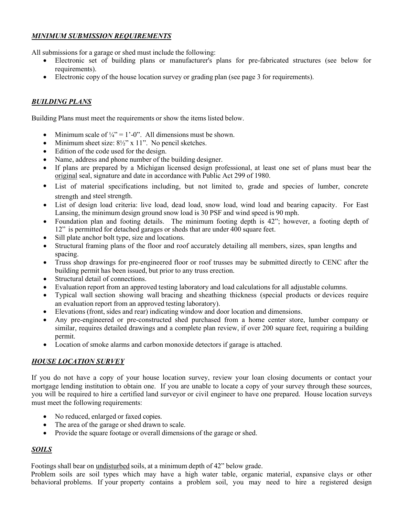## *MINIMUM SUBMISSION REQUIREMENTS*

All submissions for a garage or shed must include the following:

- Electronic set of building plans or manufacturer's plans for pre-fabricated structures (see below for requirements).
- Electronic copy of the house location survey or grading plan (see page 3 for requirements).

## *BUILDING PLANS*

Building Plans must meet the requirements or show the items listed below.

- Minimum scale of  $\frac{1}{4}$ " = 1'-0". All dimensions must be shown.
- Minimum sheet size:  $8\frac{1}{2}$ " x 11". No pencil sketches.
- Edition of the code used for the design.
- Name, address and phone number of the building designer.
- If plans are prepared by a Michigan licensed design professional, at least one set of plans must bear the original seal, signature and date in accordance with Public Act 299 of 1980.
- List of material specifications including, but not limited to, grade and species of lumber, concrete strength and steel strength.
- List of design load criteria: live load, dead load, snow load, wind load and bearing capacity. For East Lansing, the minimum design ground snow load is 30 PSF and wind speed is 90 mph.
- Foundation plan and footing details. The minimum footing depth is 42"; however, a footing depth of 12" is permitted for detached garages or sheds that are under 400 square feet.
- Sill plate anchor bolt type, size and locations.
- Structural framing plans of the floor and roof accurately detailing all members, sizes, span lengths and spacing.
- Truss shop drawings for pre-engineered floor or roof trusses may be submitted directly to CENC after the building permit has been issued, but prior to any truss erection.
- Structural detail of connections.
- Evaluation report from an approved testing laboratory and load calculations for all adjustable columns.
- Typical wall section showing wall bracing and sheathing thickness (special products or devices require an evaluation report from an approved testing laboratory).
- Elevations (front, sides and rear) indicating window and door location and dimensions.
- Any pre-engineered or pre-constructed shed purchased from a home center store, lumber company or similar, requires detailed drawings and a complete plan review, if over 200 square feet, requiring a building permit.
- Location of smoke alarms and carbon monoxide detectors if garage is attached.

## *HOUSE LOCATION SURVEY*

If you do not have a copy of your house location survey, review your loan closing documents or contact your mortgage lending institution to obtain one. If you are unable to locate a copy of your survey through these sources, you will be required to hire a certified land surveyor or civil engineer to have one prepared. House location surveys must meet the following requirements:

- No reduced, enlarged or faxed copies.
- The area of the garage or shed drawn to scale.
- Provide the square footage or overall dimensions of the garage or shed.

## *SOILS*

Footings shall bear on undisturbed soils, at a minimum depth of 42" below grade.

Problem soils are soil types which may have a high water table, organic material, expansive clays or other behavioral problems. If your property contains a problem soil, you may need to hire a registered design